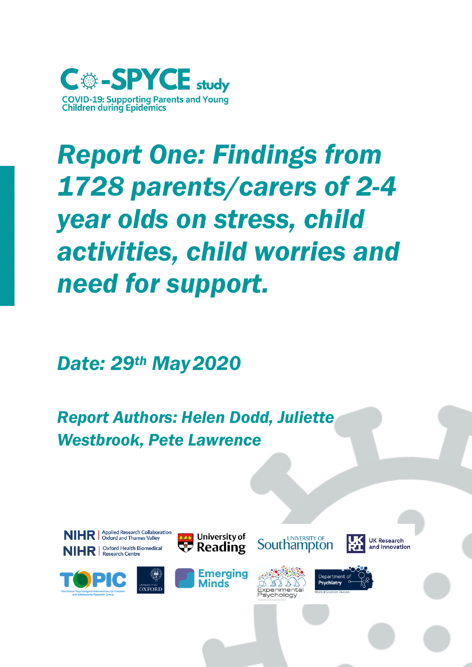

# *Report One: Findings from 1728 parents/carers of 2-4 year olds on stress, child activities, child worries and need for support.*

*Date: 29th May2020*

*Report Authors: Helen Dodd, Juliette Westbrook, Pete Lawrence*









University of



**Southampton** 



**UK Research** 

and Innovation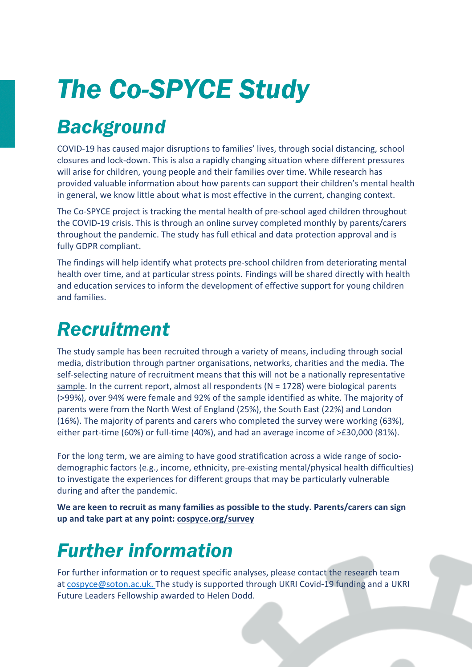# *The Co-SPYCE Study*

## *Background*

COVID-19 has caused major disruptions to families' lives, through social distancing, school closures and lock-down. This is also a rapidly changing situation where different pressures will arise for children, young people and their families over time. While research has provided valuable information about how parents can support their children's mental health in general, we know little about what is most effective in the current, changing context.

The Co-SPYCE project is tracking the mental health of pre-school aged children throughout the COVID-19 crisis. This is through an online survey completed monthly by parents/carers throughout the pandemic. The study has full ethical and data protection approval and is fully GDPR compliant.

The findings will help identify what protects pre-school children from deteriorating mental health over time, and at particular stress points. Findings will be shared directly with health and education services to inform the development of effective support for young children and families.

## *Recruitment*

The study sample has been recruited through a variety of means, including through social media, distribution through partner organisations, networks, charities and the media. The self-selecting nature of recruitment means that this will not be a nationally representative sample. In the current report, almost all respondents ( $N = 1728$ ) were biological parents (>99%), over 94% were female and 92% of the sample identified as white. The majority of parents were from the North West of England (25%), the South East (22%) and London (16%). The majority of parents and carers who completed the survey were working (63%), either part-time (60%) or full-time (40%), and had an average income of >£30,000 (81%).

For the long term, we are aiming to have good stratification across a wide range of sociodemographic factors (e.g., income, ethnicity, pre-existing mental/physical health difficulties) to investigate the experiences for different groups that may be particularly vulnerable during and after the pandemic.

**We are keen to recruit as many families as possible to the study. Parents/carers can sign up and take part at any point: cospyce.org/survey**

## *Further information*

For further information or to request specific analyses, please contact the research team at cospyce@soton.ac.uk. The study is supported through UKRI Covid-19 funding and a UKRI Future Leaders Fellowship awarded to Helen Dodd.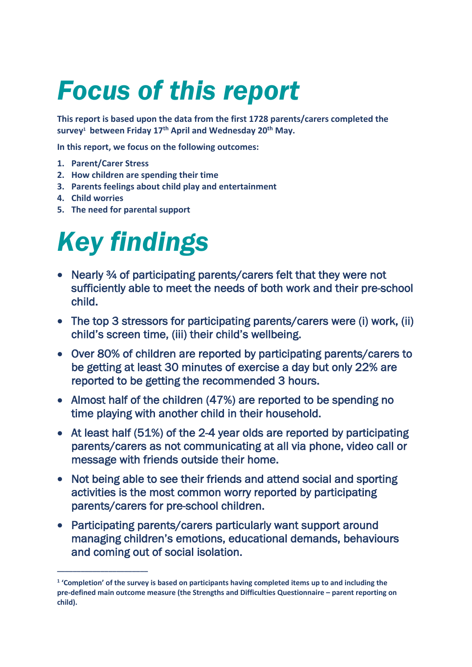# *Focus of this report*

**This report is based upon the data from the first 1728 parents/carers completed the survey1 between Friday 17th April and Wednesday 20th May.**

**In this report, we focus on the following outcomes:** 

**1. Parent/Carer Stress**

**\_\_\_\_\_\_\_\_\_\_\_\_\_\_\_\_\_\_\_\_\_\_\_**

- **2. How children are spending their time**
- **3. Parents feelings about child play and entertainment**
- **4. Child worries**
- **5. The need for parental support**

# *Key findings*

- Nearly ¾ of participating parents/carers felt that they were not sufficiently able to meet the needs of both work and their pre-school child.
- The top 3 stressors for participating parents/carers were (i) work, (ii) child's screen time, (iii) their child's wellbeing.
- Over 80% of children are reported by participating parents/carers to be getting at least 30 minutes of exercise a day but only 22% are reported to be getting the recommended 3 hours.
- Almost half of the children (47%) are reported to be spending no time playing with another child in their household.
- At least half (51%) of the 2-4 year olds are reported by participating parents/carers as not communicating at all via phone, video call or message with friends outside their home.
- Not being able to see their friends and attend social and sporting activities is the most common worry reported by participating parents/carers for pre-school children.
- Participating parents/carers particularly want support around managing children's emotions, educational demands, behaviours and coming out of social isolation.

**<sup>1</sup> 'Completion' of the survey is based on participants having completed items up to and including the pre-defined main outcome measure (the Strengths and Difficulties Questionnaire – parent reporting on child).**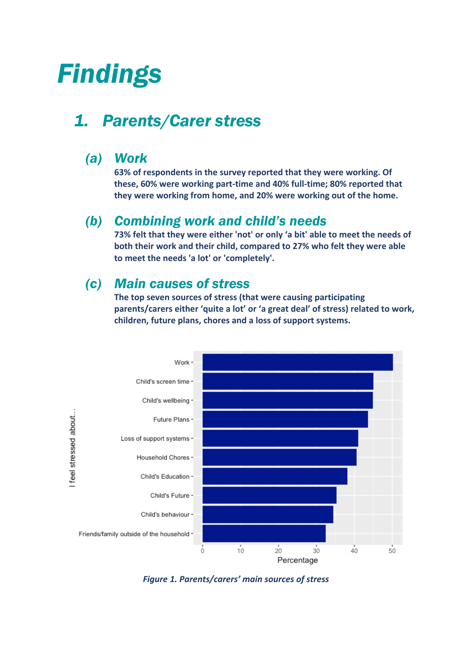## *Findings*

## *1. Parents/Carer stress*

#### *(a) Work*

**63% of respondents in the survey reported that they were working. Of these, 60% were working part-time and 40% full-time; 80% reported that they were working from home, and 20% were working out of the home.**

#### *(b) Combining work and child's needs*

**73% felt that they were either 'not' or only 'a bit' able to meet the needs of both their work and their child, compared to 27% who felt they were able to meet the needs 'a lot' or 'completely'.**

#### *(c) Main causes of stress*

**The top seven sources of stress (that were causing participating parents/carers either 'quite a lot' or 'a great deal' of stress) related to work, children, future plans, chores and a loss of support systems.**



*Figure 1. Parents/carers' main sources of stress*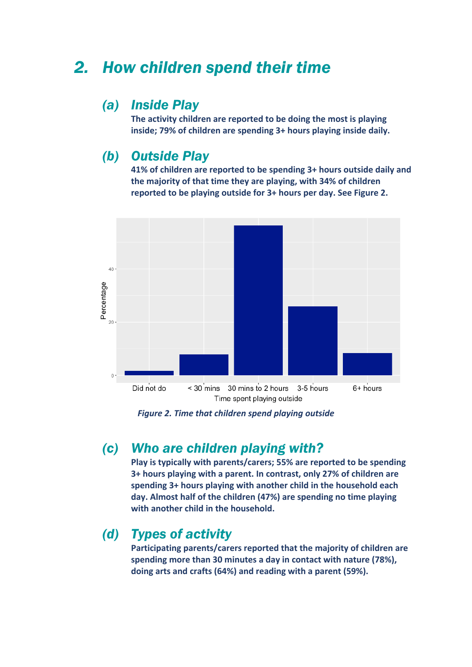### *2. How children spend their time*

#### *(a) Inside Play*

**The activity children are reported to be doing the most is playing inside; 79% of children are spending 3+ hours playing inside daily.** 

#### *(b) Outside Play*

**41% of children are reported to be spending 3+ hours outside daily and the majority of that time they are playing, with 34% of children reported to be playing outside for 3+ hours per day. See Figure 2.** 



*Figure 2. Time that children spend playing outside*

#### *(c) Who are children playing with?*

**Play is typically with parents/carers; 55% are reported to be spending 3+ hours playing with a parent. In contrast, only 27% of children are spending 3+ hours playing with another child in the household each day. Almost half of the children (47%) are spending no time playing with another child in the household.**

#### *(d) Types of activity*

**Participating parents/carers reported that the majority of children are spending more than 30 minutes a day in contact with nature (78%), doing arts and crafts (64%) and reading with a parent (59%).**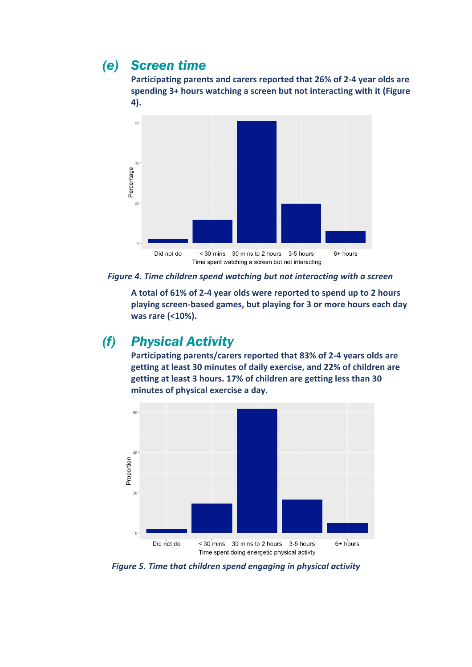### *(e) Screen time*

**Participating parents and carers reported that 26% of 2-4 year olds are spending 3+ hours watching a screen but not interacting with it (Figure 4).**



*Figure 4. Time children spend watching but not interacting with a screen*

**A total of 61% of 2-4 year olds were reported to spend up to 2 hours playing screen-based games, but playing for 3 or more hours each day was rare (<10%).** 

#### *(f) Physical Activity*

**Participating parents/carers reported that 83% of 2-4 years olds are getting at least 30 minutes of daily exercise, and 22% of children are getting at least 3 hours. 17% of children are getting less than 30 minutes of physical exercise a day.**



*Figure 5. Time that children spend engaging in physical activity*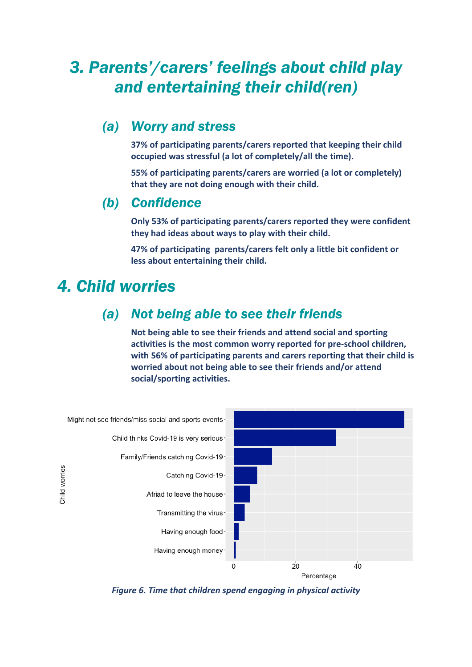## *3. Parents'/carers' feelings about child play and entertaining their child(ren)*

#### *(a) Worry and stress*

**37% of participating parents/carers reported that keeping their child occupied was stressful (a lot of completely/all the time).** 

**55% of participating parents/carers are worried (a lot or completely) that they are not doing enough with their child.**

#### *(b) Confidence*

**Only 53% of participating parents/carers reported they were confident they had ideas about ways to play with their child.**

**47% of participating parents/carers felt only a little bit confident or less about entertaining their child.** 

### *4. Child worries*

#### *(a) Not being able to see their friends*

**Not being able to see their friends and attend social and sporting activities is the most common worry reported for pre-school children, with 56% of participating parents and carers reporting that their child is worried about not being able to see their friends and/or attend social/sporting activities.**



*Figure 6. Time that children spend engaging in physical activity*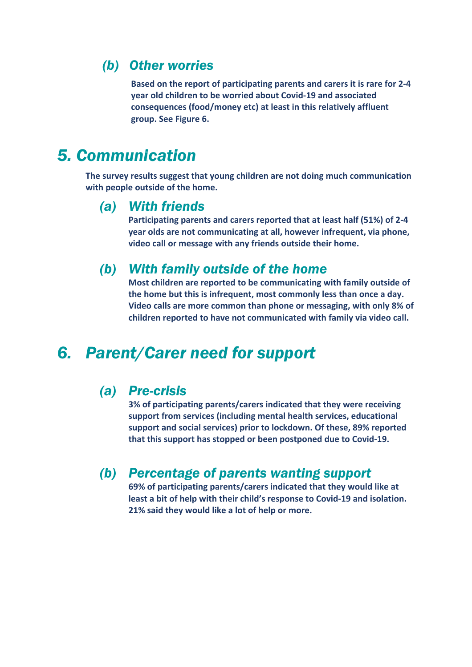#### *(b) Other worries*

**Based on the report of participating parents and carers it is rare for 2-4 year old children to be worried about Covid-19 and associated consequences (food/money etc) at least in this relatively affluent group. See Figure 6.** 

## *5. Communication*

**The survey results suggest that young children are not doing much communication with people outside of the home.** 

#### *(a) With friends*

**Participating parents and carers reported that at least half (51%) of 2-4 year olds are not communicating at all, however infrequent, via phone, video call or message with any friends outside their home.**

#### *(b) With family outside of the home*

**Most children are reported to be communicating with family outside of the home but this is infrequent, most commonly less than once a day. Video calls are more common than phone or messaging, with only 8% of children reported to have not communicated with family via video call.** 

### *6. Parent/Carer need for support*

#### *(a) Pre-crisis*

**3% of participating parents/carers indicated that they were receiving support from services (including mental health services, educational support and social services) prior to lockdown. Of these, 89% reported that this support has stopped or been postponed due to Covid-19.**

#### *(b) Percentage of parents wanting support*

**69% of participating parents/carers indicated that they would like at least a bit of help with their child's response to Covid-19 and isolation. 21% said they would like a lot of help or more.**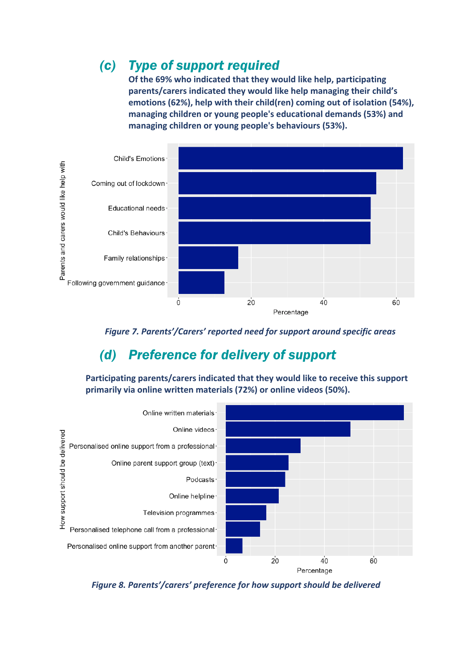### *(c) Type of support required*

**Of the 69% who indicated that they would like help, participating parents/carers indicated they would like help managing their child's emotions (62%), help with their child(ren) coming out of isolation (54%), managing children or young people's educational demands (53%) and managing children or young people's behaviours (53%).**



*Figure 7. Parents'/Carers' reported need for support around specific areas*

### *(d) Preference for delivery of support*

**Participating parents/carers indicated that they would like to receive this support primarily via online written materials (72%) or online videos (50%).** 



*Figure 8. Parents'/carers' preference for how support should be delivered*